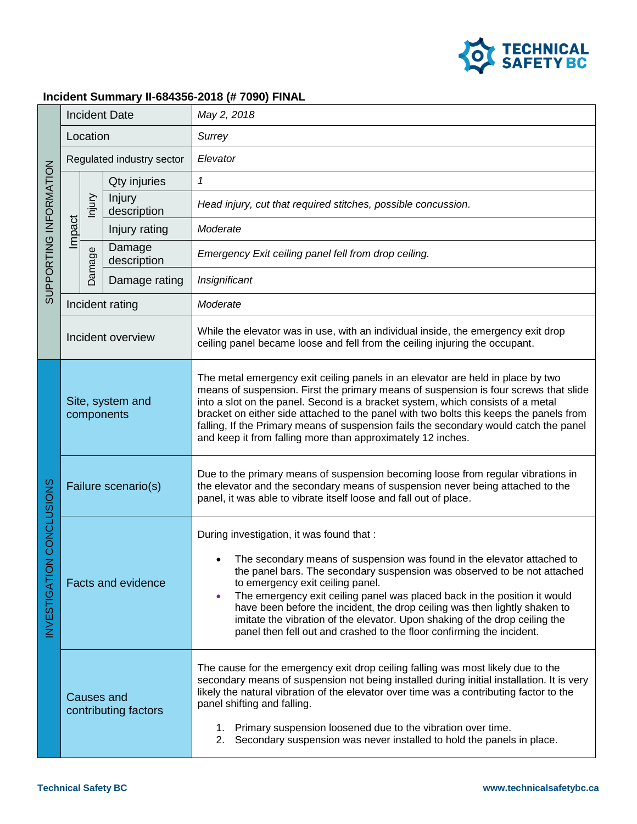

## **Incident Summary II-684356-2018 (# 7090) FINAL**

| SUPPORTING INFORMATION   | <b>Incident Date</b>                      |                 |                       | May 2, 2018                                                                                                                                                                                                                                                                                                                                                                                                                                                                                                                                             |
|--------------------------|-------------------------------------------|-----------------|-----------------------|---------------------------------------------------------------------------------------------------------------------------------------------------------------------------------------------------------------------------------------------------------------------------------------------------------------------------------------------------------------------------------------------------------------------------------------------------------------------------------------------------------------------------------------------------------|
|                          | Location                                  |                 |                       | Surrey                                                                                                                                                                                                                                                                                                                                                                                                                                                                                                                                                  |
|                          | Regulated industry sector                 |                 |                       | Elevator                                                                                                                                                                                                                                                                                                                                                                                                                                                                                                                                                |
|                          | Impact                                    | lnjury          | Qty injuries          | 1                                                                                                                                                                                                                                                                                                                                                                                                                                                                                                                                                       |
|                          |                                           |                 | Injury<br>description | Head injury, cut that required stitches, possible concussion.                                                                                                                                                                                                                                                                                                                                                                                                                                                                                           |
|                          |                                           |                 | Injury rating         | Moderate                                                                                                                                                                                                                                                                                                                                                                                                                                                                                                                                                |
|                          |                                           | Damage          | Damage<br>description | Emergency Exit ceiling panel fell from drop ceiling.                                                                                                                                                                                                                                                                                                                                                                                                                                                                                                    |
|                          |                                           |                 | Damage rating         | Insignificant                                                                                                                                                                                                                                                                                                                                                                                                                                                                                                                                           |
|                          |                                           | Incident rating |                       | Moderate                                                                                                                                                                                                                                                                                                                                                                                                                                                                                                                                                |
|                          | Incident overview                         |                 |                       | While the elevator was in use, with an individual inside, the emergency exit drop<br>ceiling panel became loose and fell from the ceiling injuring the occupant.                                                                                                                                                                                                                                                                                                                                                                                        |
| NVESTIGATION CONCLUSIONS | Site, system and<br>components            |                 |                       | The metal emergency exit ceiling panels in an elevator are held in place by two<br>means of suspension. First the primary means of suspension is four screws that slide<br>into a slot on the panel. Second is a bracket system, which consists of a metal<br>bracket on either side attached to the panel with two bolts this keeps the panels from<br>falling, If the Primary means of suspension fails the secondary would catch the panel<br>and keep it from falling more than approximately 12 inches.                                            |
|                          | Failure scenario(s)                       |                 |                       | Due to the primary means of suspension becoming loose from regular vibrations in<br>the elevator and the secondary means of suspension never being attached to the<br>panel, it was able to vibrate itself loose and fall out of place.                                                                                                                                                                                                                                                                                                                 |
|                          | <b>Facts and evidence</b>                 |                 |                       | During investigation, it was found that :<br>The secondary means of suspension was found in the elevator attached to<br>the panel bars. The secondary suspension was observed to be not attached<br>to emergency exit ceiling panel.<br>The emergency exit ceiling panel was placed back in the position it would<br>have been before the incident, the drop ceiling was then lightly shaken to<br>imitate the vibration of the elevator. Upon shaking of the drop ceiling the<br>panel then fell out and crashed to the floor confirming the incident. |
|                          | <b>Causes and</b><br>contributing factors |                 |                       | The cause for the emergency exit drop ceiling falling was most likely due to the<br>secondary means of suspension not being installed during initial installation. It is very<br>likely the natural vibration of the elevator over time was a contributing factor to the<br>panel shifting and falling.<br>1. Primary suspension loosened due to the vibration over time.<br>2.<br>Secondary suspension was never installed to hold the panels in place.                                                                                                |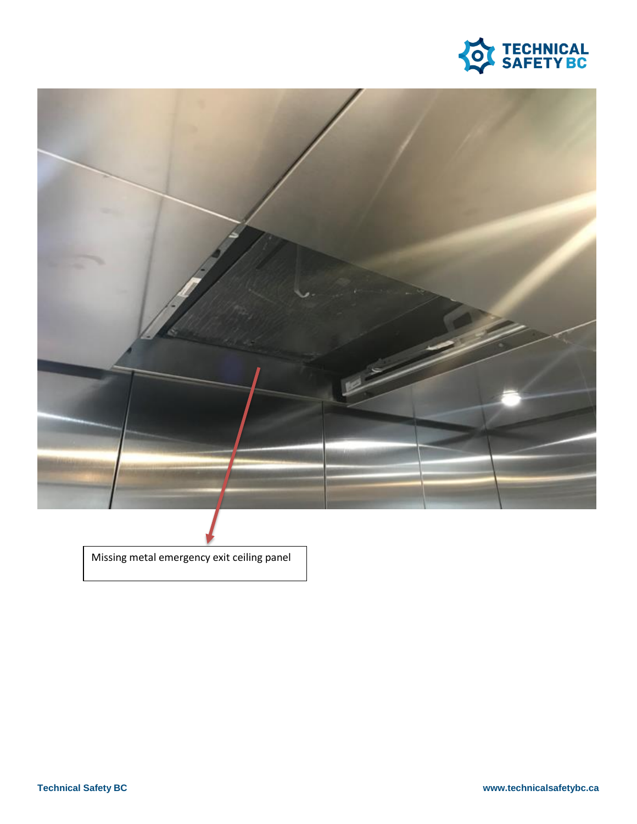



Missing metal emergency exit ceiling panel